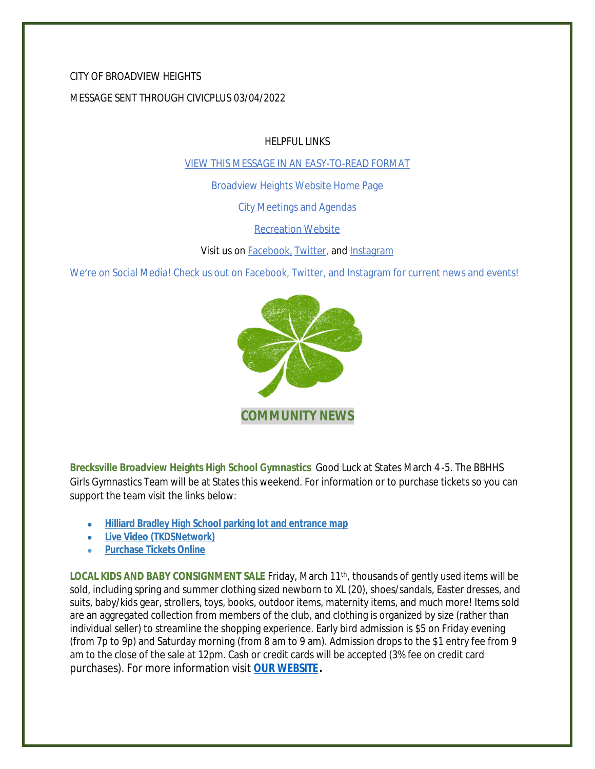### CITY OF BROADVIEW HEIGHTS

#### MESSAGE SENT THROUGH CIVICPLUS 03/04/2022

HELPFUL LINKS

[VIEW THIS MESSAGE IN AN EASY-TO-READ FORMAT](https://www.broadview-heights.org/Archive.aspx?AMID=37)

[Broadview Heights Website Home Page](https://www.broadview-heights.org/)

[City Meetings and Agendas](https://www.broadview-heights.org/1126/Agendas-Meeting-Minutes)

[Recreation Website](https://broadview-heights.org/292/Parks-Recreation)

Visit us on **Facebook**, [Twitter,](https://twitter.com/broadviewhts) and [Instagram](https://www.instagram.com/cityofbroadviewheights/)

We're on Social Media! Check us out on Facebook, Twitter, and Instagram for current news and events!



**Brecksville Broadview Heights High School Gymnastics** Good Luck at States March 4 -5. The BBHHS Girls Gymnastics Team will be at States this weekend. For information or to purchase tickets so you can support the team visit the links below:

- **[Hilliard Bradley High School parking lot and entrance map](https://ohsaaweb.blob.core.windows.net/files/Sports/Gymnastics/2021-22/HillilardBradleyAerialMap.pdf)**
- **[Live Video \(TKDSNetwork\)](https://ohsaa.tkdssports.com/)**
- **[Purchase Tickets Online](https://www.ohsaa.org/tickets)**

[LOCAL KIDS AND BABY CONSIGNMENT SALE](https://www.ohsaa.org/tickets) [Friday, March 11](https://www.ohsaa.org/tickets)<sup>[th](https://www.ohsaa.org/tickets)</sup>[,](https://www.ohsaa.org/tickets) thousands of gently used items will be [sold, including spring and summer clothing sized newborn to XL \(20\), shoes/sandals, Easter dresses, and](https://www.ohsaa.org/tickets)  [suits, baby/kids gear, strollers, toys, books, outdoor items, maternity items, and much more! Items sold](https://www.ohsaa.org/tickets)  [are an aggregated collection from members of the club, and clothing is organized](https://www.ohsaa.org/tickets) [by size \(rather than](https://www.ohsaa.org/tickets)  [individual seller\) to streamline the shopping experience.](https://www.ohsaa.org/tickets) [Early bird admission is \\$5 on Friday evening](https://www.ohsaa.org/tickets)  [\(from 7p to 9p\) and Saturday morning](https://www.ohsaa.org/tickets) [\(from 8 am to 9 am\). Admission drops to the \\$1 entry fee from 9](https://www.ohsaa.org/tickets)  [am to the close of](https://www.ohsaa.org/tickets) [the sale at 12pm. Cash or credit cards will be accepted \(3% fee on credit card](https://www.ohsaa.org/tickets)  [purchases\). For more information visit](https://www.ohsaa.org/tickets) **[OUR WEBSITE.](https://broadview-heights.org/Calendar.aspx?EID=3746)**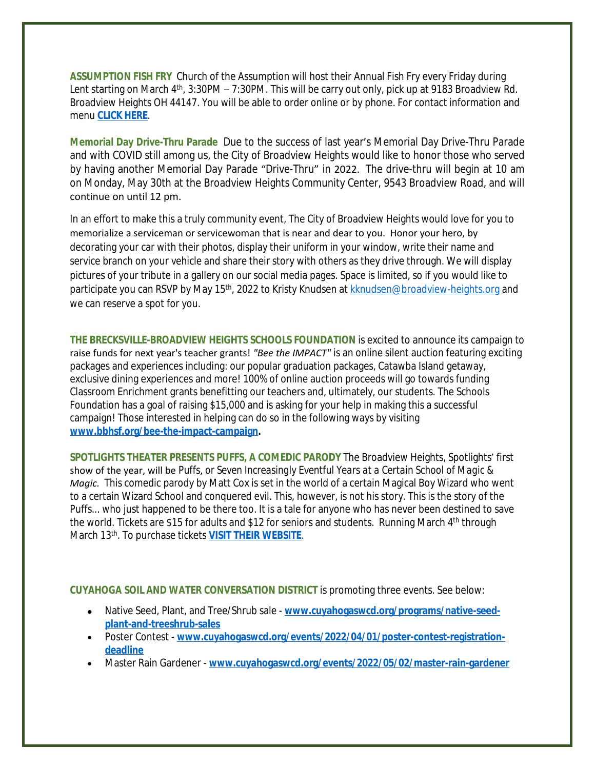**ASSUMPTION FISH FRY** Church of the Assumption will host their Annual Fish Fry every Friday during Lent starting on March 4<sup>th</sup>, 3:30PM – 7:30PM. This will be carry out only, pick up at 9183 Broadview Rd. Broadview Heights OH 44147. You will be able to order online or by phone. For contact information and menu **[CLICK HERE](https://broadview-heights.org/DocumentCenter/View/9222/fishfry)**[.](https://broadview-heights.org/DocumentCenter/View/9222/fishfry)

**Memorial Day [Drive-Thru](https://broadview-heights.org/DocumentCenter/View/9222/fishfry) Parade** Due to the success of last year's Memorial Day [Drive-Thru](https://broadview-heights.org/DocumentCenter/View/9222/fishfry) Parade and with COVID still among us, the City of [Broadview](https://broadview-heights.org/DocumentCenter/View/9222/fishfry) Heights would like to honor those who served by having another Memorial Day Parade "[Drive-Thru](https://broadview-heights.org/DocumentCenter/View/9222/fishfry)" in 2022. The drive-thru will begin at 10 am on Monday, May 30th at the Broadview Heights [Community](https://broadview-heights.org/DocumentCenter/View/9222/fishfry) Center, 9543 Broadview Road, and will [continue on until 12 pm.](https://broadview-heights.org/DocumentCenter/View/9222/fishfry) 

[In an effort to make this a truly community event, The City of Broadview Heights would love for you to](https://broadview-heights.org/DocumentCenter/View/9222/fishfry)  [memorialize a serviceman or servicewoman that is near and dear to you. Honor your hero, by](https://broadview-heights.org/DocumentCenter/View/9222/fishfry)  [decorating your car with their photos, display their uniform in your window, write their name and](https://broadview-heights.org/DocumentCenter/View/9222/fishfry)  [service branch on your vehicle and share their story with others as they drive through. We will display](https://broadview-heights.org/DocumentCenter/View/9222/fishfry)  [pictures of your tribute in a gallery on our social media pages. Space is limited, so if you would like to](https://broadview-heights.org/DocumentCenter/View/9222/fishfry)  [participate you can RSVP by May 15](https://broadview-heights.org/DocumentCenter/View/9222/fishfry)<sup>[th](https://broadview-heights.org/DocumentCenter/View/9222/fishfry)</sup>[, 2022 to Kristy Knudsen at](https://broadview-heights.org/DocumentCenter/View/9222/fishfry) [kknudsen@broadview-heights.org](mailto:kknudsen@broadview-heights.org) and we can reserve a spot for you.

**THE BRECKSVILLE-BROADVIEW HEIGHTS SCHOOLS FOUNDATION** is excited to announce its campaign to raise funds for next year's teacher grants! *"Bee the IMPACT"* is an online silent auction featuring exciting packages and experiences including: our popular graduation packages, Catawba Island getaway, exclusive dining experiences and more! 100% of online auction proceeds will go towards funding Classroom Enrichment grants benefitting our teachers and, ultimately, our students. The Schools Foundation has a goal of raising \$15,000 and is asking for your help in making this a successful campaign! Those interested in helping can do so in the following ways by visiting **[www.bbhsf.org/bee-the-impact-campaign.](http://www.bbhsf.org/bee-the-impact-campaign)**

**[SPOTLIGHTS THEATER PRESENTS PUFFS, A COMEDIC PARODY](http://www.bbhsf.org/bee-the-impact-campaign)** [The Broadview Heights, Spotlights](http://www.bbhsf.org/bee-the-impact-campaign)' first [show of the year, will be](http://www.bbhsf.org/bee-the-impact-campaign) *[Puffs](http://www.bbhsf.org/bee-the-impact-campaign)*[,](http://www.bbhsf.org/bee-the-impact-campaign) *[or](http://www.bbhsf.org/bee-the-impact-campaign) [Seven Increasingly Eventful Years at a Certain School of Magic &](http://www.bbhsf.org/bee-the-impact-campaign)  [Magic.](http://www.bbhsf.org/bee-the-impact-campaign)* [This comedic parody by Matt Cox is set in the world of a certain Magical Boy Wizard who went](http://www.bbhsf.org/bee-the-impact-campaign)  [to a certain Wizard School and conquered evil. This, however, is not his story. This is the story of the](http://www.bbhsf.org/bee-the-impact-campaign)  [Puffs... who just happened to be there too. It is a tale for anyone who has never been destined to save](http://www.bbhsf.org/bee-the-impact-campaign)  [the world.](http://www.bbhsf.org/bee-the-impact-campaign) [Tickets are \\$15 for adults and \\$12 for seniors and students. Running March 4](http://www.bbhsf.org/bee-the-impact-campaign)<sup>[th](http://www.bbhsf.org/bee-the-impact-campaign)</sup> through [March 13](http://www.bbhsf.org/bee-the-impact-campaign)[th](http://www.bbhsf.org/bee-the-impact-campaign)[. To purchase tickets](http://www.bbhsf.org/bee-the-impact-campaign) **[VISIT THEIR WEBSITE](http://www.broadview-heights-spotlights.org/theater/)**[.](http://www.broadview-heights-spotlights.org/theater/)

**[CUYAHOGA SOIL AND WATER CONVERSATION DISTRICT](http://www.broadview-heights-spotlights.org/theater/)** [is promoting three events. See below:](http://www.broadview-heights-spotlights.org/theater/)

- [Native Seed, Plant, and Tree/Shrub sale](http://www.broadview-heights-spotlights.org/theater/) [www.cuyahogaswcd.org/programs/native-seed](http://www.cuyahogaswcd.org/programs/native-seed-plant-and-treeshrub-sales)**plant-and-treeshrub-sales**
- Poster Contest **[www.cuyahogaswcd.org/events/2022/04/01/poster-contest-registration](http://www.cuyahogaswcd.org/events/2022/04/01/poster-contest-registration-deadline)deadline**
- Master Rain Gardener **[www.cuyahogaswcd.org/events/2022/05/02/master-rain-gardener](http://www.cuyahogaswcd.org/events/2022/05/02/master-rain-gardener)**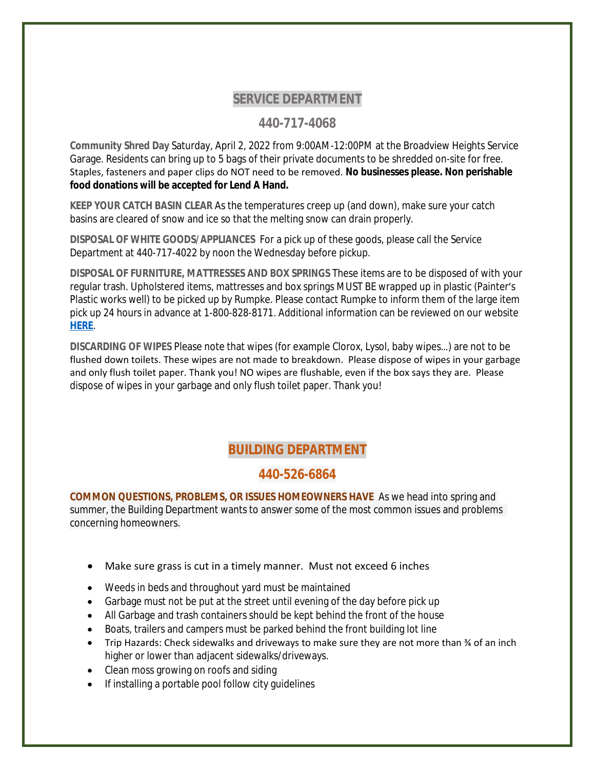## **SERVICE DEPARTMENT**

## **440-717-4068**

**Community Shred Day** Saturday, April 2, 2022 from 9:00AM-12:00PM at the Broadview Heights Service Garage. Residents can bring up to 5 bags of their private documents to be shredded on-site for free. Staples, fasteners and paper clips do NOT need to be removed. **No businesses please. Non perishable food donations will be accepted for Lend A Hand.**

**KEEP YOUR CATCH BASIN CLEAR** As the temperatures creep up (and down), make sure your catch basins are cleared of snow and ice so that the melting snow can drain properly.

**DISPOSAL OF WHITE GOODS/APPLIANCES** For a pick up of these goods, please call the Service Department at 440-717-4022 by noon the Wednesday before pickup.

**DISPOSAL OF FURNITURE, MATTRESSES AND BOX SPRINGS** These items are to be disposed of with your regular trash. Upholstered items, mattresses and box springs MUST BE wrapped up in plastic (Painter's Plastic works well) to be picked up by Rumpke. Please contact Rumpke to inform them of the large item pick up 24 hours in advance at 1-800-828-8171. Additional information can be reviewed on our website **[HERE](https://www.broadview-heights.org/1027/Garbage-Recycling)**[.](https://www.broadview-heights.org/1027/Garbage-Recycling)

**[DISCARDING OF WIPES](https://www.broadview-heights.org/1027/Garbage-Recycling)** [Please note that wipes \(for example Clorox, Lysol, baby wipes](https://www.broadview-heights.org/1027/Garbage-Recycling)…) are not to be [flushed down toilets. These wipes are not made to breakdown. Please dispose of wipes in your garbage](https://www.broadview-heights.org/1027/Garbage-Recycling)  [and only flush toilet paper. Thank you! NO wipes are flushable, even if the box says they are. Please](https://www.broadview-heights.org/1027/Garbage-Recycling)  [dispose of wipes in your garbage and only flush toilet paper. Thank you!](https://www.broadview-heights.org/1027/Garbage-Recycling) 

# **[BUILDING DEPARTMENT](https://www.broadview-heights.org/1027/Garbage-Recycling)**

### **[440-526-6864](https://www.broadview-heights.org/1027/Garbage-Recycling)**

**[COMMON QUESTIONS, PROBLEMS, OR ISSUES HOMEOWNERS HAVE](https://www.broadview-heights.org/1027/Garbage-Recycling)** [As](https://www.broadview-heights.org/1027/Garbage-Recycling) [we head into spring and](https://www.broadview-heights.org/1027/Garbage-Recycling)  [summer, the Building Department wants to answer some of the most common issues and problems](https://www.broadview-heights.org/1027/Garbage-Recycling)  [concerning homeowners.](https://www.broadview-heights.org/1027/Garbage-Recycling)

- [Make sure grass is cut in a timely manner. Must not exceed 6 inches](https://www.broadview-heights.org/1027/Garbage-Recycling)
- [Weeds in beds and throughout yard must be maintained](https://www.broadview-heights.org/1027/Garbage-Recycling)
- [Garbage must not be put at the street until evening of the day before pick up](https://www.broadview-heights.org/1027/Garbage-Recycling)
- [All Garbage and trash containers should be kept behind the front of the house](https://www.broadview-heights.org/1027/Garbage-Recycling)
- [Boats, trailers and campers must be parked behind the front building lot line](https://www.broadview-heights.org/1027/Garbage-Recycling)
- Trip Hazards: Check sidewalks and driveways to make sure they are not more than  $\frac{3}{4}$  of an inch [higher or lower than adjacent sidewalks/driveways.](https://www.broadview-heights.org/1027/Garbage-Recycling)
- [Clean moss growing on roofs and siding](https://www.broadview-heights.org/1027/Garbage-Recycling)
- [If installing a portable pool follow city guidelines](https://www.broadview-heights.org/1027/Garbage-Recycling)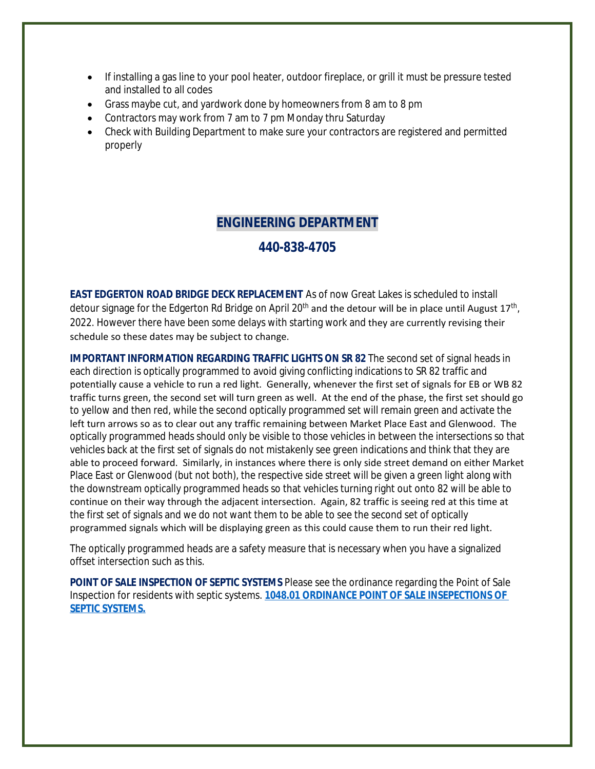- If installing a gas line to your pool heater, outdoor fireplace, or grill it must be pressure tested and installed to all codes
- Grass maybe cut, and yardwork done by homeowners from 8 am to 8 pm
- Contractors may work from 7 am to 7 pm Monday thru Saturday
- Check with Building Department to make sure your contractors are registered and permitted properly

## **ENGINEERING DEPARTMENT**

### **440-838-4705**

**EAST EDGERTON ROAD BRIDGE DECK REPLACEMENT** As of now Great Lakes is scheduled to install detour signage for the Edgerton Rd Bridge on April 20<sup>th</sup> and the detour will be in place until August 17<sup>th</sup>, 2022. However there have been some delays with starting work and they are currently revising their schedule so these dates may be subject to change.

**IMPORTANT INFORMATION REGARDING TRAFFIC LIGHTS ON SR 82** The second set of signal heads in each direction is optically programmed to avoid giving conflicting indications to SR 82 traffic and potentially cause a vehicle to run a red light. Generally, whenever the first set of signals for EB or WB 82 traffic turns green, the second set will turn green as well. At the end of the phase, the first set should go to yellow and then red, while the second optically programmed set will remain green and activate the left turn arrows so as to clear out any traffic remaining between Market Place East and Glenwood. The optically programmed heads should only be visible to those vehicles in between the intersections so that vehicles back at the first set of signals do not mistakenly see green indications and think that they are able to proceed forward. Similarly, in instances where there is only side street demand on either Market Place East or Glenwood (but not both), the respective side street will be given a green light along with the downstream optically programmed heads so that vehicles turning right out onto 82 will be able to continue on their way through the adjacent intersection. Again, 82 traffic is seeing red at this time at the first set of signals and we do not want them to be able to see the second set of optically programmed signals which will be displaying green as this could cause them to run their red light.

The optically programmed heads are a safety measure that is necessary when you have a signalized offset intersection such as this.

**POINT OF SALE INSPECTION OF SEPTIC SYSTEMS** Please see the ordinance regarding the Point of Sale Inspection for residents with septic systems. **[1048.01 ORDINANCE POINT OF SALE INSEPECTIONS OF](https://codelibrary.amlegal.com/codes/broadviewhts/latest/broadview_oh/0-0-0-13398)  SEPTIC SYSTEMS.**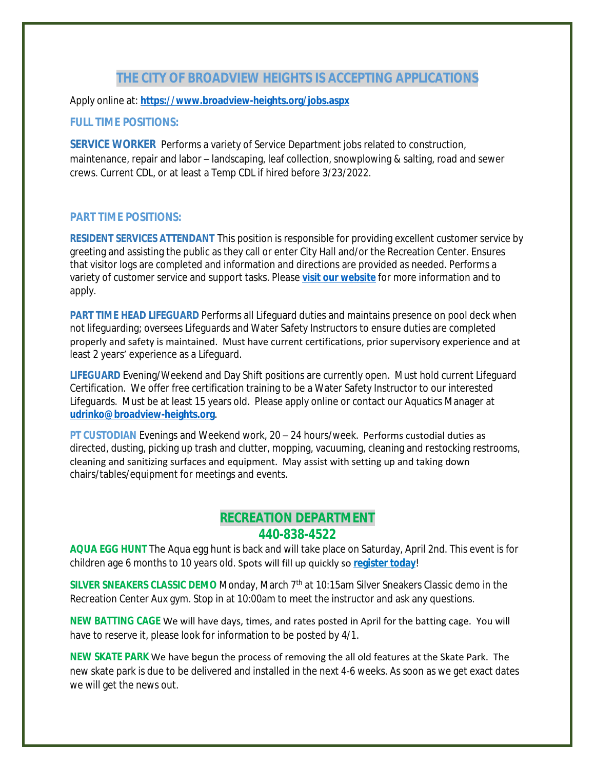### **THE CITY OF BROADVIEW HEIGHTS IS ACCEPTING APPLICATIONS**

Apply online at: **<https://www.broadview-heights.org/jobs.aspx>**

#### **[FULL TIME POSITIONS:](https://www.broadview-heights.org/jobs.aspx)**

**[SERVICE WORKER](https://www.broadview-heights.org/jobs.aspx)** Performs a variety of Service Department jobs related to construction, maintenance, repair and labor – [landscaping, leaf collection, snowplowing & salting, road and sewer](https://www.broadview-heights.org/jobs.aspx)  [crews. Current CDL, or at least a Temp CDL if hired before 3/23/2022.](https://www.broadview-heights.org/jobs.aspx)

#### **[PART TIME POSITIONS:](https://www.broadview-heights.org/jobs.aspx)**

**[RESIDENT SERVICES ATTENDANT](https://www.broadview-heights.org/jobs.aspx)** [This position is responsible for providing excellent customer service by](https://www.broadview-heights.org/jobs.aspx) [greeting and assisting the public as they call or enter City Hall and/or the Recreation Center. Ensures](https://www.broadview-heights.org/jobs.aspx)  [that visitor logs are completed and information and directions are provided as needed. Performs a](https://www.broadview-heights.org/jobs.aspx)  [variety of customer service and support tasks. Please](https://www.broadview-heights.org/jobs.aspx) **[visit our website](https://www.broadview-heights.org/Jobs.aspx?UniqueId=98&From=98&CommunityJobs=False&JobID=Resident-Services-Attendant-135)** for more information and to apply.

**PART TIME HEAD LIFEGUARD** Performs all Lifeguard duties and maintains presence on pool deck when not lifeguarding; oversees Lifeguards and Water Safety Instructors to ensure duties are completed properly and safety is maintained. Must have current certifications, prior supervisory experience and at least 2 years' experience as a Lifeguard.

**LIFEGUARD** Evening/Weekend and Day Shift positions are currently open. Must hold current Lifeguard Certification. We offer free certification training to be a Water Safety Instructor to our interested Lifeguards. Must be at least 15 years old. Please apply online or contact our Aquatics Manager at **[udrinko@broadview-heights.org](mailto:udrinko@broadview-heights.org)**.

**PT CUSTODIAN** Evenings and Weekend work, 20 – 24 hours/week. Performs custodial duties as directed, dusting, picking up trash and clutter, mopping, vacuuming, cleaning and restocking restrooms, cleaning and sanitizing surfaces and equipment. May assist with setting up and taking down chairs/tables/equipment for meetings and events.

### **RECREATION DEPARTMENT 440-838-4522**

**AQUA EGG HUNT** The Aqua egg hunt is back and will take place on Saturday, April 2nd. This event is for children age 6 months to 10 years old. Spots will fill up quickly so **[register today](https://web1.myvscloud.com/wbwsc/ohbroadviewheightswt.wsc/search.html?module=AR&Type=FDD,EVENT)**[!](https://web1.myvscloud.com/wbwsc/ohbroadviewheightswt.wsc/search.html?module=AR&Type=FDD,EVENT)

**SILVER SNEAKERS CLASSIC DEMO** [Monday, March 7](https://web1.myvscloud.com/wbwsc/ohbroadviewheightswt.wsc/search.html?module=AR&Type=FDD,EVENT)<sup>[th](https://web1.myvscloud.com/wbwsc/ohbroadviewheightswt.wsc/search.html?module=AR&Type=FDD,EVENT)</sup> at 10:15am Silver Sneakers Classic demo in the [Recreation Center Aux gym. Stop in at 10:00am to meet the instructor and ask any questions.](https://web1.myvscloud.com/wbwsc/ohbroadviewheightswt.wsc/search.html?module=AR&Type=FDD,EVENT)

**[NEW BATTING CAGE](https://web1.myvscloud.com/wbwsc/ohbroadviewheightswt.wsc/search.html?module=AR&Type=FDD,EVENT)** [We will have days, times, and rates posted in April for the batting cage. You will](https://web1.myvscloud.com/wbwsc/ohbroadviewheightswt.wsc/search.html?module=AR&Type=FDD,EVENT)  [have to reserve it, please look for information to be posted by 4/1.](https://web1.myvscloud.com/wbwsc/ohbroadviewheightswt.wsc/search.html?module=AR&Type=FDD,EVENT)

**[NEW SKATE PARK](https://web1.myvscloud.com/wbwsc/ohbroadviewheightswt.wsc/search.html?module=AR&Type=FDD,EVENT)** [We have begun the process of removing the all old features at the Skate Park. The](https://web1.myvscloud.com/wbwsc/ohbroadviewheightswt.wsc/search.html?module=AR&Type=FDD,EVENT)  [new skate park is due to be delivered and installed in the next 4-6 weeks. As soon as we get exact dates](https://web1.myvscloud.com/wbwsc/ohbroadviewheightswt.wsc/search.html?module=AR&Type=FDD,EVENT)  [we will get the news out.](https://web1.myvscloud.com/wbwsc/ohbroadviewheightswt.wsc/search.html?module=AR&Type=FDD,EVENT)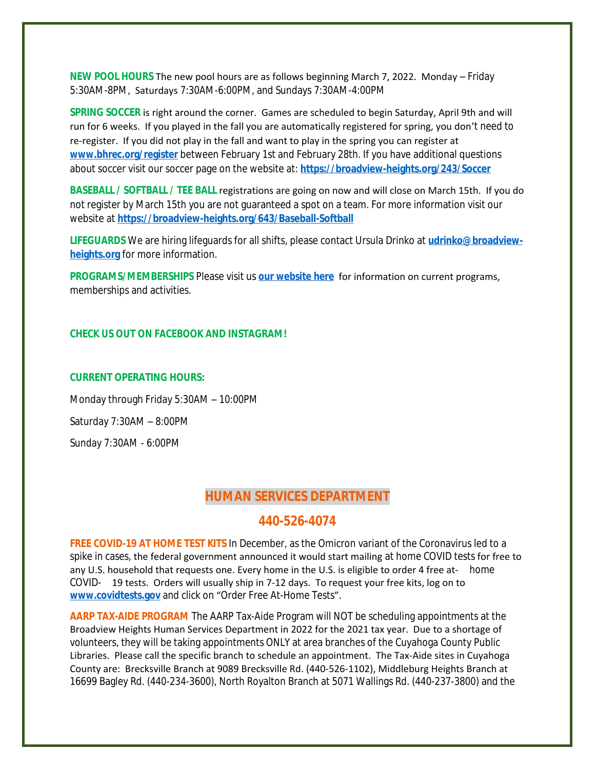**NEW POOL HOURS** The new pool hours are as follows beginning March 7, 2022. Monday – Friday 5:30AM-8PM, Saturdays 7:30AM-6:00PM, and Sundays 7:30AM-4:00PM

**SPRING SOCCER** is right around the corner. Games are scheduled to begin Saturday, April 9th and will run for 6 weeks. If you played in the fall you are automatically registered for spring, you don't need to re-register. If you did not play in the fall and want to play in the spring you can register at **[www.bhrec.org/register](http://www.bhrec.org/register)** between February 1st and February 28th. If you have additional questions about soccer visit our soccer page on the website at: **<https://broadview-heights.org/243/Soccer>**

**[BASEBALL / SOFTBALL / TEE BALL](https://broadview-heights.org/243/Soccer)** [registrations are going on now and will close on March 15th. If you do](https://broadview-heights.org/243/Soccer) [not register by March 15th you are not guaranteed a spot on a team. For more information visit our](https://broadview-heights.org/243/Soccer)  [website at](https://broadview-heights.org/243/Soccer) **<https://broadview-heights.org/643/Baseball-Softball>**

**[LIFEGUARDS](https://broadview-heights.org/643/Baseball-Softball)** [We are hiring lifeguards for all shifts, please contact Ursula Drinko at](https://broadview-heights.org/643/Baseball-Softball) **[udrinko@broadview](mailto:udrinko@broadview-heights.org)heights.org** for more information.

**PROGRAMS/MEMBERSHIPS** Please visit us **[our website here](https://www.broadview-heights.org/292/Parks-Recreation)** for information on current programs, memberships and activities.

#### **CHECK US OUT ON FACEBOOK AND INSTAGRAM!**

#### **CURRENT OPERATING HOURS:**

Monday through Friday 5:30AM – 10:00PM Saturday 7:30AM – 8:00PM Sunday 7:30AM - 6:00PM

### **HUMAN SERVICES DEPARTMENT**

#### **440-526-4074**

**FREE COVID-19 AT HOME TEST KITS** In December, as the Omicron variant of the Coronavirus led to a spike in cases, the federal government announced it would start mailing at home COVID tests for free to any U.S. household that requests one. Every home in the U.S. is eligible to order 4 free at- home COVID- 19 tests. Orders will usually ship in 7-12 days. To request your free kits, log on to **[www.covidtests.gov](http://www.covidtests.gov)** and click on "[Order Free At-Home Tests](http://www.covidtests.gov)".

**[AARP TAX-AIDE PROGRAM](http://www.covidtests.gov)** [The AARP Tax-Aide Program will NOT be scheduling appointments at the](http://www.covidtests.gov)  [Broadview Heights Human Services Department in 2022 for the 2021 tax year. Due to a shortage of](http://www.covidtests.gov)  [volunteers, they will be taking appointments ONLY at area branches of the Cuyahoga County Public](http://www.covidtests.gov)  [Libraries. Please call the specific branch to schedule an appointment. The Tax-Aide sites in Cuyahoga](http://www.covidtests.gov)  [County are: Brecksville Branch at 9089 Brecksville Rd. \(440-526-1102\), Middleburg Heights Branch at](http://www.covidtests.gov)  [16699 Bagley Rd. \(440-234-3600\), North Royalton Branch at 5071 Wallings Rd. \(440-237-3800\) and the](http://www.covidtests.gov)